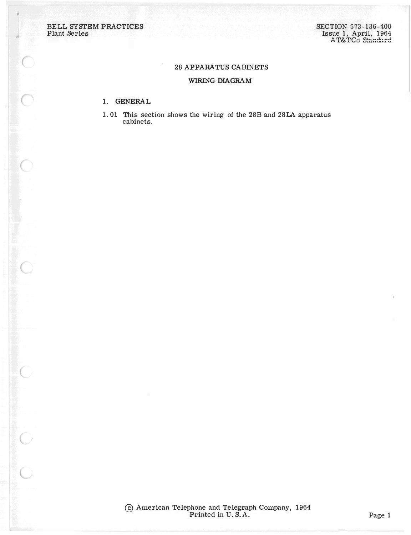$\frac{1}{2}$ 

## **28 APPARATUS CABINETS**

## WIRING DIAGRAM

## 1. GENERAL

1.01 This section shows the wiring of the 28B and 28LA apparatus cabinets.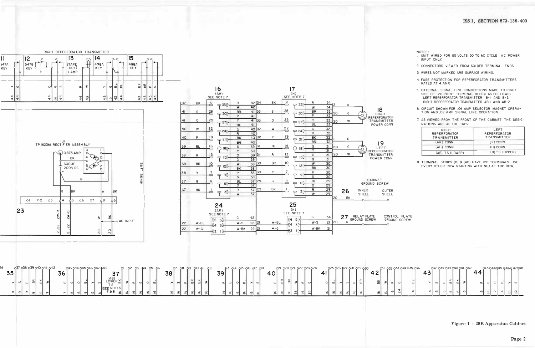



|          |          |        | 037 038 039 040 041 | 042 |    |    |  | 043 044 045 046 047 048 |                                 |           |  |            | <b>CDF</b> |    |    | O <sub>8</sub> | O9       | $Q_{\rm H}$ | O <sub>2</sub> |    | $Q$ $3$ $Q$ $4$ | QI5QI6 | Q <sub>17</sub> | oie 1 |         |   | QI9 Q20 Q21 |    | Q22 Q23 Q24 |                |  |     | Q25 Q26 Q27 Q28 Q29 Q30 |     |                | O31 O32 |  |
|----------|----------|--------|---------------------|-----|----|----|--|-------------------------|---------------------------------|-----------|--|------------|------------|----|----|----------------|----------|-------------|----------------|----|-----------------|--------|-----------------|-------|---------|---|-------------|----|-------------|----------------|--|-----|-------------------------|-----|----------------|---------|--|
| ス斥<br>◡◡ |          |        |                     |     | 36 |    |  |                         | --<br>ັບເ                       |           |  |            |            | 38 |    |                |          |             |                | 39 |                 |        |                 |       | 40      |   |             |    |             | 4 <sup>1</sup> |  |     |                         | 42' | ~ ←            |         |  |
|          | ഗ∣       | $\sim$ | $\vee$              |     |    | ା  |  | m                       | (AB)<br>LOWER 놂                 |           |  |            |            |    |    |                | $\alpha$ | $\sim$      |                |    | œΙ<br>וט        | ωI     |                 |       | പ       | œ | $\sim$      |    |             | $\circ$        |  |     |                         |     | $\times$<br>മ∣ |         |  |
| ΦI       | $\sigma$ |        |                     |     |    | ഥി |  | $\mathcal{Q}$           | SEE NOTES<br>788<br>ا مب<br>- 1 | ື<br>$-1$ |  | ທ∎<br>$-1$ | اھ         | ا≅ | ا≅ | اھ             |          |             | ு              |    | ا≅<br>ا≅        |        | ≗∣              |       | اھ<br>- |   |             | ะเ | ഄ           | ا≅             |  | ାଦା |                         |     | ۱ پ<br>- 1     |         |  |

NOTES:

- I. UNIT WIRED FOR 115 VOLTS 50 TO 60 CYCLE AC POWER INPUT ONLY.
- 2. CONNECTORS VIEWED FROM SOLDER TERMINAL ENDS.
- 3 WIRES NOT MARKED ARE SURFACE WIRING.
- 4. FUSE PROTECTION FOR REPERFORATOR TRANSMITTERS RATED AT 4 AMP.
- 5. EXTERNAL SIGNAL LINE CONNECTIONS MADE TO RIGHT SIDE OF 120 POINT TERMINAL BLOCK AS FOLLOWS: LEFT REPERFORATOR TRANSMITTER B-I AND B-2 RIGHT REPERFORATOR TRANSMITTER AB-I AND AB-2
- 6. CIRCUIT SHOWN FOR .06 AMP SELECTOR MAGNET OPERA-TION AND .02 AMP SIGNAL LINE OPERATION.
- 7. AS VIEWED FROM THE FRONT OF THE CABINET THE DESIG-NATIONS ARE AS FOLLOWS:

| RIGHT<br><b>REPERFORATOR</b><br><b>TRANSMITTER</b> | LFFT<br><b>REPERFORATOR</b><br><b>TRANSMITTER</b> |
|----------------------------------------------------|---------------------------------------------------|
| (AK) CONN                                          | $(K)$ CONN                                        |
| (AH) CONN                                          | (H) CONN                                          |
| (AB) TS (LOWER)                                    | $(B)$ TS (UPPER)                                  |

8. TERMINAL STRIPS (B) & (AB) HAVE I2O TERMINALS. USE EVERY OTHER ROW STARTING WITH NO.I AT TOP ROW.

GROUND SCREW



Figure 1 - 28B Apparatus Cabinet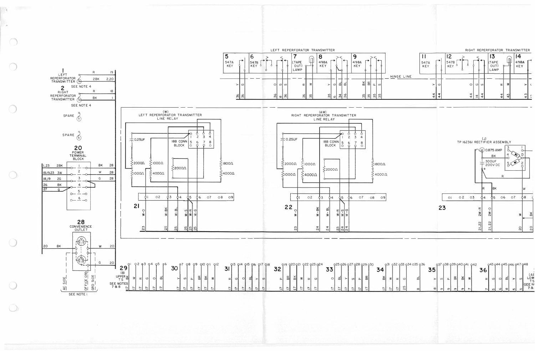

 $\bigcirc$ 

W.

| RIGHT REPERFORATOR TRANSMITTER |  |
|--------------------------------|--|
|                                |  |

| 547A<br>KEY |         |        | 12<br>547B<br>KEY<br>$\circ$ |               |   |                | 13<br>TAPE<br>LAMP |    | 14<br>498A<br>KEY          |   |
|-------------|---------|--------|------------------------------|---------------|---|----------------|--------------------|----|----------------------------|---|
|             |         |        |                              |               |   |                |                    |    |                            |   |
|             | $\succ$ |        |                              | $\circ$       | ಲ | $\omega$       |                    | ₹  | ≻                          |   |
|             | 44      | 4<br>ෑ |                              | $\frac{4}{4}$ | 4 | 4<br>$\vec{r}$ |                    | 43 | $\sim$<br>$\rightarrow$    | c |
|             |         |        | ပ                            |               |   |                |                    |    | $\propto$<br>$\frac{4}{4}$ |   |

|          |             | 232 033 034 035 036 |          |          |          |          |    | 037 038 039 040 041 042  |   |          |         |          | 043 044 045 046 047 048 |         |           |
|----------|-------------|---------------------|----------|----------|----------|----------|----|--------------------------|---|----------|---------|----------|-------------------------|---------|-----------|
|          |             |                     | 5        |          |          |          |    |                          | O |          |         |          |                         |         | ίΑ        |
| $\alpha$ | ပ           | m                   |          | $\omega$ | a.       | æ        | ΒK | ₹                        | œ | 이        | $\circ$ | ಹ        |                         | ഗ       | $\bigcap$ |
|          | ဂ<br>$\sim$ | $\infty$            | $\infty$ | $\sigma$ | $\sigma$ | $\sigma$ | ഠ  | $\overline{\phantom{0}}$ | N | $\Omega$ | ام      | $\infty$ | $\Omega$                | $\circ$ |           |